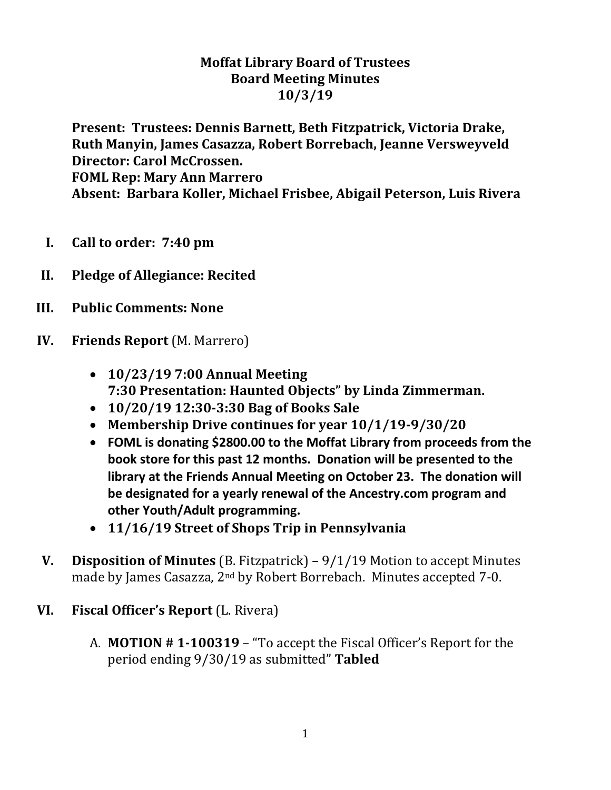### **Moffat Library Board of Trustees Board Meeting Minutes 10/3/19**

**Present: Trustees: Dennis Barnett, Beth Fitzpatrick, Victoria Drake, Ruth Manyin, James Casazza, Robert Borrebach, Jeanne Versweyveld Director: Carol McCrossen. FOML Rep: Mary Ann Marrero Absent: Barbara Koller, Michael Frisbee, Abigail Peterson, Luis Rivera**

- **I. Call to order: 7:40 pm**
- **II. Pledge of Allegiance: Recited**
- **III. Public Comments: None**
- **IV. Friends Report** (M. Marrero)
	- **10/23/19 7:00 Annual Meeting 7:30 Presentation: Haunted Objects" by Linda Zimmerman.**
	- **10/20/19 12:30-3:30 Bag of Books Sale**
	- **Membership Drive continues for year 10/1/19-9/30/20**
	- **FOML is donating \$2800.00 to the Moffat Library from proceeds from the book store for this past 12 months. Donation will be presented to the library at the Friends Annual Meeting on October 23. The donation will be designated for a yearly renewal of the Ancestry.com program and other Youth/Adult programming.**
	- **11/16/19 Street of Shops Trip in Pennsylvania**
- **V. Disposition of Minutes** (B. Fitzpatrick) 9/1/19 Motion to accept Minutes made by James Casazza, 2nd by Robert Borrebach. Minutes accepted 7-0.

#### **VI. Fiscal Officer's Report** (L. Rivera)

A. **MOTION # 1-100319** – "To accept the Fiscal Officer's Report for the period ending 9/30/19 as submitted" **Tabled**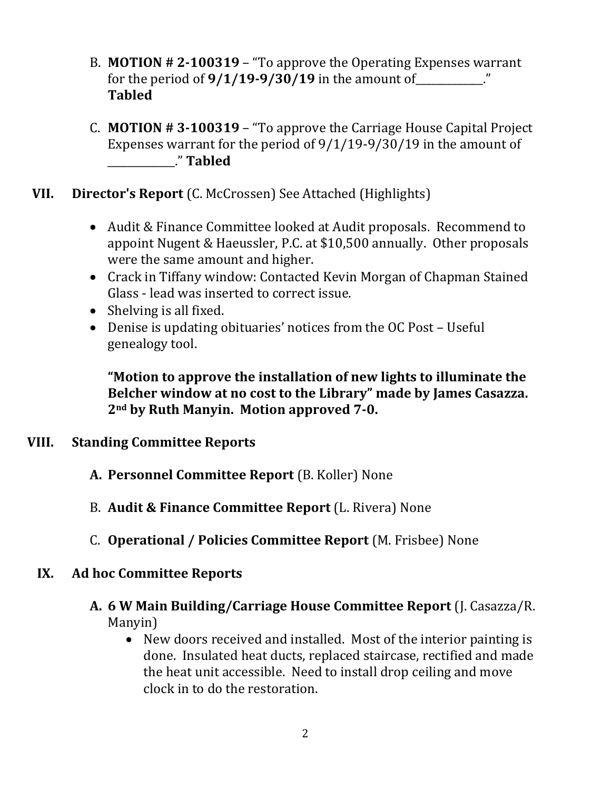- B. **MOTION # 2-100319** "To approve the Operating Expenses warrant for the period of  $9/1/19 - 9/30/19$  in the amount of **Tabled**
- C. **MOTION # 3-100319** "To approve the Carriage House Capital Project Expenses warrant for the period of 9/1/19-9/30/19 in the amount of \_\_\_\_\_\_\_\_\_\_\_\_\_." **Tabled**
- **VII. Director's Report** (C. McCrossen) See Attached (Highlights)
	- Audit & Finance Committee looked at Audit proposals. Recommend to appoint Nugent & Haeussler, P.C. at \$10,500 annually. Other proposals were the same amount and higher.
	- Crack in Tiffany window: Contacted Kevin Morgan of Chapman Stained Glass - lead was inserted to correct issue.
	- Shelving is all fixed.
	- Denise is updating obituaries' notices from the OC Post Useful genealogy tool.

**"Motion to approve the installation of new lights to illuminate the Belcher window at no cost to the Library" made by James Casazza. 2nd by Ruth Manyin. Motion approved 7-0.**

#### **VIII. Standing Committee Reports**

- **A. Personnel Committee Report** (B. Koller) None
- B. **Audit & Finance Committee Report** (L. Rivera) None
- C. **Operational / Policies Committee Report** (M. Frisbee) None

#### **IX. Ad hoc Committee Reports**

- **A. 6 W Main Building/Carriage House Committee Report** (J. Casazza/R. Manyin)
	- New doors received and installed. Most of the interior painting is done. Insulated heat ducts, replaced staircase, rectified and made the heat unit accessible. Need to install drop ceiling and move clock in to do the restoration.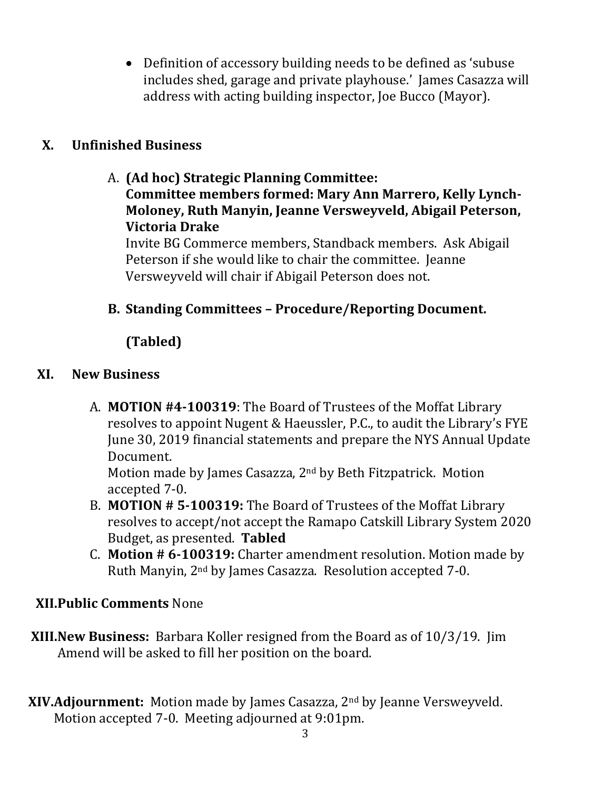Definition of accessory building needs to be defined as 'subuse includes shed, garage and private playhouse.' James Casazza will address with acting building inspector, Joe Bucco (Mayor).

## **X. Unfinished Business**

## A. **(Ad hoc) Strategic Planning Committee: Committee members formed: Mary Ann Marrero, Kelly Lynch-Moloney, Ruth Manyin, Jeanne Versweyveld, Abigail Peterson, Victoria Drake**

Invite BG Commerce members, Standback members. Ask Abigail Peterson if she would like to chair the committee. Jeanne Versweyveld will chair if Abigail Peterson does not.

## **B. Standing Committees – Procedure/Reporting Document.**

# **(Tabled)**

### **XI. New Business**

A. **MOTION #4-100319**: The Board of Trustees of the Moffat Library resolves to appoint Nugent & Haeussler, P.C., to audit the Library's FYE June 30, 2019 financial statements and prepare the NYS Annual Update Document.

Motion made by James Casazza, 2<sup>nd</sup> by Beth Fitzpatrick. Motion accepted 7-0.

- B. **MOTION # 5-100319:** The Board of Trustees of the Moffat Library resolves to accept/not accept the Ramapo Catskill Library System 2020 Budget, as presented. **Tabled**
- C. **Motion # 6-100319:** Charter amendment resolution. Motion made by Ruth Manyin, 2nd by James Casazza. Resolution accepted 7-0.

## **XII.Public Comments** None

- **XIII.New Business:** Barbara Koller resigned from the Board as of 10/3/19. Jim Amend will be asked to fill her position on the board.
- **XIV.Adjournment:** Motion made by James Casazza, 2nd by Jeanne Versweyveld. Motion accepted 7-0. Meeting adjourned at 9:01pm.